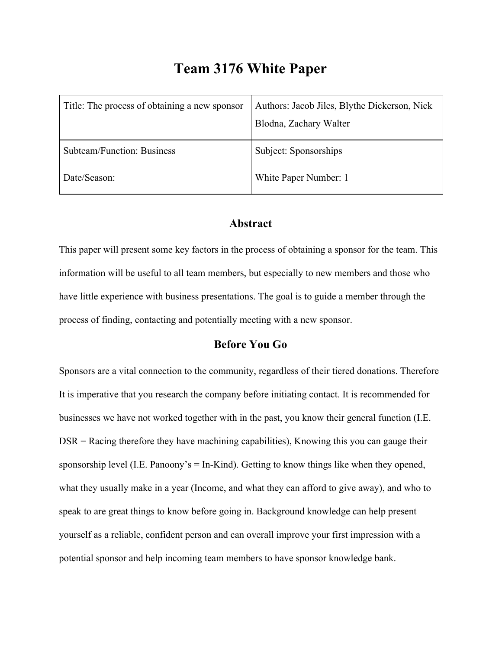# **Team 3176 White Paper**

| Title: The process of obtaining a new sponsor | Authors: Jacob Jiles, Blythe Dickerson, Nick |
|-----------------------------------------------|----------------------------------------------|
|                                               | Blodna, Zachary Walter                       |
| Subteam/Function: Business                    | Subject: Sponsorships                        |
| Date/Season:                                  | White Paper Number: 1                        |

#### **Abstract**

This paper will present some key factors in the process of obtaining a sponsor for the team. This information will be useful to all team members, but especially to new members and those who have little experience with business presentations. The goal is to guide a member through the process of finding, contacting and potentially meeting with a new sponsor.

## **Before You Go**

Sponsors are a vital connection to the community, regardless of their tiered donations. Therefore It is imperative that you research the company before initiating contact. It is recommended for businesses we have not worked together with in the past, you know their general function (I.E. DSR = Racing therefore they have machining capabilities), Knowing this you can gauge their sponsorship level (I.E. Panoony's  $=$  In-Kind). Getting to know things like when they opened, what they usually make in a year (Income, and what they can afford to give away), and who to speak to are great things to know before going in. Background knowledge can help present yourself as a reliable, confident person and can overall improve your first impression with a potential sponsor and help incoming team members to have sponsor knowledge bank.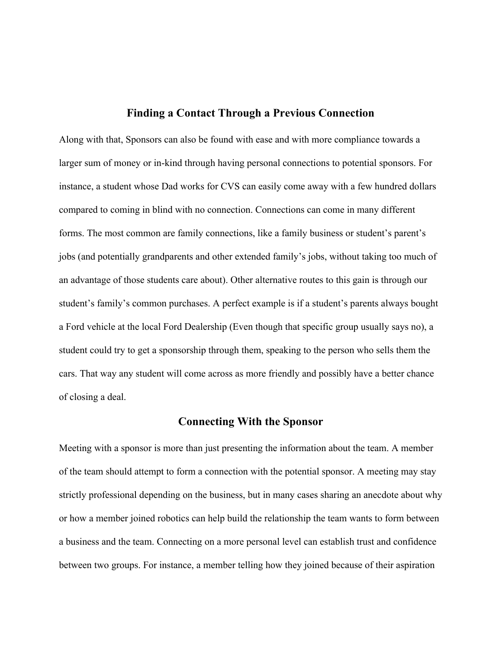#### **Finding a Contact Through a Previous Connection**

Along with that, Sponsors can also be found with ease and with more compliance towards a larger sum of money or in-kind through having personal connections to potential sponsors. For instance, a student whose Dad works for CVS can easily come away with a few hundred dollars compared to coming in blind with no connection. Connections can come in many different forms. The most common are family connections, like a family business or student's parent's jobs (and potentially grandparents and other extended family's jobs, without taking too much of an advantage of those students care about). Other alternative routes to this gain is through our student's family's common purchases. A perfect example is if a student's parents always bought a Ford vehicle at the local Ford Dealership (Even though that specific group usually says no), a student could try to get a sponsorship through them, speaking to the person who sells them the cars. That way any student will come across as more friendly and possibly have a better chance of closing a deal.

### **Connecting With the Sponsor**

Meeting with a sponsor is more than just presenting the information about the team. A member of the team should attempt to form a connection with the potential sponsor. A meeting may stay strictly professional depending on the business, but in many cases sharing an anecdote about why or how a member joined robotics can help build the relationship the team wants to form between a business and the team. Connecting on a more personal level can establish trust and confidence between two groups. For instance, a member telling how they joined because of their aspiration